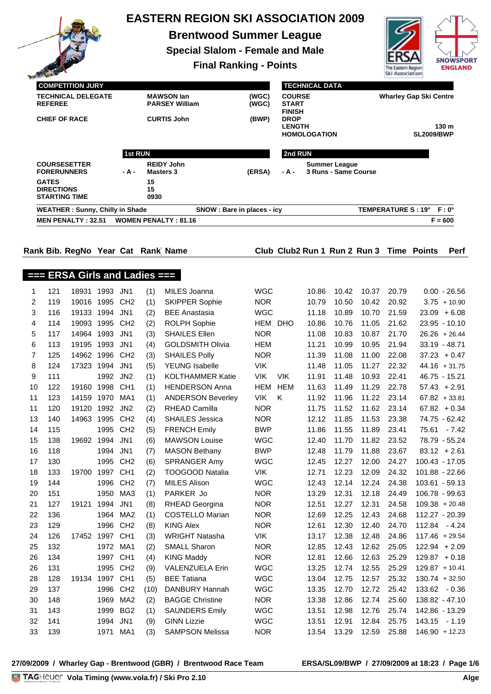|                                         |                                             |                                        |                  |                           |            | <b>EASTERN REGION SKI ASSOCIATION 2009</b>   |                          |                               |                       |                      |                |                    |                                          |                                     |  |  |
|-----------------------------------------|---------------------------------------------|----------------------------------------|------------------|---------------------------|------------|----------------------------------------------|--------------------------|-------------------------------|-----------------------|----------------------|----------------|--------------------|------------------------------------------|-------------------------------------|--|--|
|                                         |                                             |                                        |                  |                           |            | <b>Brentwood Summer League</b>               |                          |                               |                       |                      |                |                    |                                          |                                     |  |  |
| <b>Special Slalom - Female and Male</b> |                                             |                                        |                  |                           |            |                                              |                          |                               |                       |                      |                |                    |                                          |                                     |  |  |
|                                         | <b>Final Ranking - Points</b>               |                                        |                  |                           |            |                                              |                          |                               |                       |                      |                | The Eastern Region |                                          | <b>SNOWSPORT</b><br><b>ENGLAND</b>  |  |  |
|                                         |                                             |                                        |                  |                           |            |                                              |                          |                               |                       |                      |                | Ski Association    |                                          |                                     |  |  |
|                                         |                                             | <b>COMPETITION JURY</b>                |                  |                           |            |                                              |                          |                               | <b>TECHNICAL DATA</b> |                      |                |                    |                                          |                                     |  |  |
|                                         | <b>TECHNICAL DELEGATE</b><br><b>REFEREE</b> |                                        |                  |                           |            | <b>MAWSON lan</b><br><b>PARSEY William</b>   | (WGC)<br>(WGC)           | <b>COURSE</b><br><b>START</b> |                       |                      |                |                    | <b>Wharley Gap Ski Centre</b>            |                                     |  |  |
|                                         | <b>CHIEF OF RACE</b>                        |                                        |                  |                           |            | <b>CURTIS John</b>                           | (BWP)                    | <b>FINISH</b><br><b>DROP</b>  |                       |                      |                |                    |                                          |                                     |  |  |
|                                         |                                             |                                        |                  |                           |            |                                              | <b>LENGTH</b>            |                               |                       |                      |                | 130 m              |                                          |                                     |  |  |
|                                         |                                             |                                        |                  |                           |            |                                              |                          |                               | <b>HOMOLOGATION</b>   |                      |                |                    | <b>SL2009/BWP</b>                        |                                     |  |  |
|                                         |                                             |                                        |                  |                           | 1st RUN    |                                              |                          | 2nd RUN                       |                       |                      |                |                    |                                          |                                     |  |  |
|                                         |                                             | <b>COURSESETTER</b>                    |                  |                           |            | <b>REIDY John</b>                            |                          |                               |                       | <b>Summer League</b> |                |                    |                                          |                                     |  |  |
|                                         | <b>GATES</b>                                | <b>FORERUNNERS</b>                     |                  | - A -<br><b>Masters 3</b> |            |                                              | (ERSA)                   | - A -                         |                       | 3 Runs - Same Course |                |                    |                                          |                                     |  |  |
|                                         | <b>DIRECTIONS</b>                           |                                        |                  |                           | 15<br>15   |                                              |                          |                               |                       |                      |                |                    |                                          |                                     |  |  |
|                                         |                                             | <b>STARTING TIME</b>                   |                  |                           | 0930       |                                              |                          |                               |                       |                      |                |                    |                                          |                                     |  |  |
|                                         |                                             | <b>WEATHER: Sunny, Chilly in Shade</b> |                  |                           |            | SNOW : Bare in places - icy                  |                          |                               |                       |                      |                |                    | TEMPERATURE S: 19° F: 0°                 |                                     |  |  |
|                                         |                                             | <b>MEN PENALTY: 32.51</b>              |                  |                           |            | <b>WOMEN PENALTY: 81.16</b>                  |                          |                               |                       |                      |                |                    |                                          | $F = 600$                           |  |  |
|                                         |                                             |                                        |                  |                           |            |                                              |                          |                               |                       |                      |                |                    |                                          |                                     |  |  |
|                                         |                                             | Rank Bib. RegNo Year Cat Rank Name     |                  |                           |            |                                              |                          |                               |                       |                      |                |                    | Club Club2 Run 1 Run 2 Run 3 Time Points | <b>Perf</b>                         |  |  |
|                                         |                                             |                                        |                  |                           |            |                                              |                          |                               |                       |                      |                |                    |                                          |                                     |  |  |
|                                         |                                             | $==$ ERSA Girls and Ladies $==$        |                  |                           |            |                                              |                          |                               |                       |                      |                |                    |                                          |                                     |  |  |
| 1                                       | 121                                         | 18931 1993 JN1                         |                  |                           | (1)        | MILES Joanna                                 | <b>WGC</b>               |                               | 10.86                 | 10.42                | 10.37          | 20.79              |                                          | $0.00 - 26.56$                      |  |  |
| 2                                       | 119                                         | 19016 1995 CH2                         |                  |                           | (1)        | <b>SKIPPER Sophie</b>                        | <b>NOR</b>               |                               | 10.79                 | 10.50                | 10.42          | 20.92              |                                          | $3.75 + 10.90$                      |  |  |
| 3                                       | 116                                         | 19133 1994 JN1                         |                  |                           | (2)        | <b>BEE</b> Anastasia                         | <b>WGC</b>               |                               | 11.18                 | 10.89                | 10.70          | 21.59              |                                          | $23.09 + 6.08$                      |  |  |
| 4                                       | 114                                         | 19093 1995 CH2                         |                  |                           | (2)        | <b>ROLPH Sophie</b>                          |                          | HEM DHO                       | 10.86                 | 10.76                | 11.05          | 21.62              |                                          | $23.95 - 10.10$                     |  |  |
| 5                                       | 117                                         | 14964 1993 JN1                         |                  |                           | (3)        | <b>SHAILES Ellen</b>                         | <b>NOR</b>               |                               | 11.08                 | 10.83                | 10.87          | 21.70              |                                          | $26.26 + 26.44$                     |  |  |
| 6                                       | 113                                         | 19195 1993 JN1                         |                  |                           | (4)        | <b>GOLDSMITH Olivia</b>                      | <b>HEM</b>               |                               | 11.21                 | 10.99                | 10.95          | 21.94              |                                          | 33.19 - 48.71                       |  |  |
| $\overline{7}$<br>8                     | 125<br>124                                  | 14962 1996 CH2<br>17323 1994 JN1       |                  |                           | (3)<br>(5) | <b>SHAILES Polly</b><br>YEUNG Isabelle       | <b>NOR</b><br><b>VIK</b> |                               | 11.39<br>11.48        | 11.08<br>11.05       | 11.00<br>11.27 | 22.08<br>22.32     |                                          | $37.23 + 0.47$<br>$44.16 + 31.75$   |  |  |
| 9                                       | 111                                         |                                        | 1992 JN2         |                           | (1)        | KOLTHAMMER Katie                             | VIK VIK                  |                               |                       | 11.91  11.48         |                | 10.93 22.41        |                                          | 46.75 - 15.21                       |  |  |
| 10                                      | 122                                         | 19160 1998 CH1                         |                  |                           | (1)        | <b>HENDERSON Anna</b>                        |                          | HEM HEM                       | 11.63                 | 11.49                | 11.29          | 22.78              |                                          | $57.43 + 2.91$                      |  |  |
| 11                                      | 123                                         | 14159 1970 MA1                         |                  |                           | (1)        | <b>ANDERSON Beverley</b>                     | VIK                      | Κ                             | 11.92                 | 11.96                | 11.22          | 23.14              |                                          | $67.82 + 33.81$                     |  |  |
| 11                                      | 120                                         | 19120 1992 JN2                         |                  |                           | (2)        | RHEAD Camilla                                | <b>NOR</b>               |                               | 11.75                 | 11.52                | 11.62          | 23.14              |                                          | $67.82 + 0.34$                      |  |  |
| 13                                      | 140                                         | 14963 1995 CH2                         |                  |                           | (4)        | <b>SHAILES Jessica</b>                       | <b>NOR</b>               |                               | 12.12                 | 11.85                | 11.53          | 23.38              |                                          | 74.75 - 62.42                       |  |  |
| 14                                      | 115                                         |                                        | 1995 CH2         |                           | (5)        | <b>FRENCH Emily</b>                          | <b>BWP</b>               |                               | 11.86                 | 11.55                | 11.89          | 23.41              |                                          | 75.61 - 7.42                        |  |  |
| 15                                      | 138                                         | 19692                                  | 1994 JN1         |                           | (6)        | <b>MAWSON Louise</b>                         | <b>WGC</b>               |                               | 12.40                 | 11.70                | 11.82          | 23.52              |                                          | 78.79 - 55.24                       |  |  |
| 16<br>17                                | 118<br>130                                  |                                        | 1994 JN1<br>1995 | CH <sub>2</sub>           | (7)<br>(6) | <b>MASON Bethany</b><br><b>SPRANGER Amy</b>  | <b>BWP</b><br><b>WGC</b> |                               | 12.48<br>12.45        | 11.79<br>12.27       | 11.88<br>12.00 | 23.67<br>24.27     |                                          | $83.12 + 2.61$<br>100.43 - 17.05    |  |  |
| 18                                      | 133                                         | 19700 1997 CH1                         |                  |                           | (2)        | <b>TOOGOOD Natalia</b>                       | VIK                      |                               | 12.71                 | 12.23                | 12.09          | 24.32              |                                          | 101.88 - 22.66                      |  |  |
| 19                                      | 144                                         |                                        | 1996 CH2         |                           | (7)        | <b>MILES Alison</b>                          | <b>WGC</b>               |                               | 12.43                 | 12.14                | 12.24          | 24.38              |                                          | 103.61 - 59.13                      |  |  |
| 20                                      | 151                                         |                                        |                  | 1950 MA3                  | (1)        | PARKER Jo                                    | <b>NOR</b>               |                               | 13.29                 | 12.31                | 12.18          | 24.49              |                                          | 106.78 - 99.63                      |  |  |
| 21                                      | 127                                         | 19121                                  | 1994 JN1         |                           | (8)        | <b>RHEAD Georgina</b>                        | <b>NOR</b>               |                               | 12.51                 | 12.27                | 12.31          | 24.58              |                                          | $109.38 + 20.48$                    |  |  |
| 22                                      | 136                                         |                                        | 1964             | MA2                       | (1)        | <b>COSTELLO Marian</b>                       | <b>NOR</b>               |                               | 12.69                 | 12.25                | 12.43          | 24.68              |                                          | 112.27 - 20.39                      |  |  |
| 23                                      | 129                                         |                                        | 1996 CH2         |                           | (8)        | <b>KING Alex</b>                             | <b>NOR</b>               |                               | 12.61                 | 12.30                | 12.40          | 24.70              |                                          | 112.84 - 4.24                       |  |  |
| 24<br>25                                | 126<br>132                                  | 17452 1997 CH1                         | 1972 MA1         |                           | (3)<br>(2) | <b>WRIGHT Natasha</b><br>SMALL Sharon        | VIK<br><b>NOR</b>        |                               | 13.17<br>12.85        | 12.38<br>12.43       | 12.48<br>12.62 | 24.86<br>25.05     |                                          | $117.46 + 29.54$<br>$122.94 + 2.09$ |  |  |
| 26                                      | 134                                         |                                        | 1997 CH1         |                           | (4)        | <b>KING Maddy</b>                            | <b>NOR</b>               |                               | 12.81                 | 12.66                | 12.63          | 25.29              |                                          | $129.87 + 0.18$                     |  |  |
| 26                                      | 131                                         |                                        |                  | 1995 CH2                  | (9)        | VALENZUELA Erin                              | <b>WGC</b>               |                               | 13.25                 | 12.74                | 12.55          | 25.29              |                                          | $129.87 + 10.41$                    |  |  |
| 28                                      | 128                                         | 19134                                  | 1997 CH1         |                           | (5)        | <b>BEE Tatiana</b>                           | <b>WGC</b>               |                               | 13.04                 | 12.75                | 12.57          | 25.32              |                                          | $130.74 + 32.50$                    |  |  |
| 29                                      | 137                                         |                                        |                  | 1996 CH2                  | (10)       | DANBURY Hannah                               | <b>WGC</b>               |                               | 13.35                 | 12.70                | 12.72          | 25.42              |                                          | 133.62 - 0.36                       |  |  |
| 30                                      | 148                                         |                                        | 1969             | MA2                       | (2)        | <b>BAGGE Christine</b>                       | <b>NOR</b>               |                               | 13.38                 | 12.86                | 12.74          | 25.60              |                                          | 138.82 - 47.10                      |  |  |
| 31                                      | 143                                         |                                        | 1999             | BG <sub>2</sub>           | (1)        | <b>SAUNDERS Emily</b>                        | <b>WGC</b>               |                               | 13.51                 | 12.98                | 12.76          | 25.74              |                                          | 142.86 - 13.29                      |  |  |
| 32<br>33                                | 141<br>139                                  |                                        | 1994 JN1         | 1971 MA1                  | (9)<br>(3) | <b>GINN Lizzie</b><br><b>SAMPSON Melissa</b> | <b>WGC</b><br><b>NOR</b> |                               | 13.51<br>13.54        | 12.91<br>13.29       | 12.84<br>12.59 | 25.75<br>25.88     |                                          | 143.15 - 1.19<br>$146.90 + 12.23$   |  |  |
|                                         |                                             |                                        |                  |                           |            |                                              |                          |                               |                       |                      |                |                    |                                          |                                     |  |  |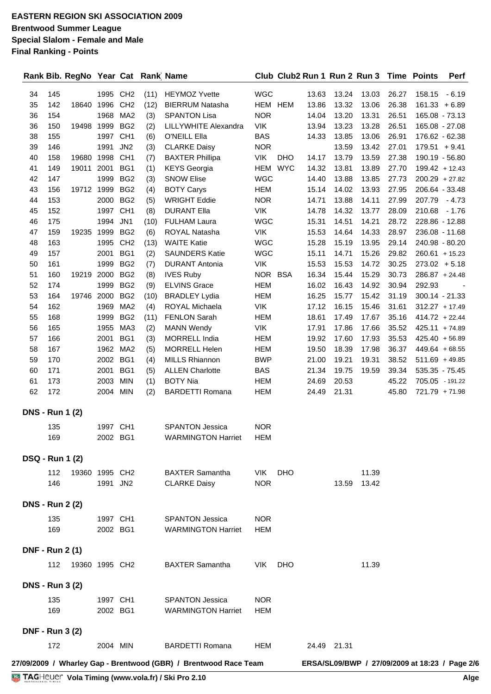|                        |            | Rank Bib. RegNo Year Cat Rank Name |                      |                        |             |                                                                  |                          |            | Club Club2 Run 1 Run 2 Run 3 Time Points |                |                |                |                 | Perf                                           |
|------------------------|------------|------------------------------------|----------------------|------------------------|-------------|------------------------------------------------------------------|--------------------------|------------|------------------------------------------|----------------|----------------|----------------|-----------------|------------------------------------------------|
| 34                     | 145        |                                    | 1995 CH2             |                        | (11)        | <b>HEYMOZ Yvette</b>                                             | <b>WGC</b>               |            | 13.63                                    | 13.24          | 13.03          | 26.27          | 158.15          | - 6.19                                         |
| 35                     | 142        | 18640                              | 1996                 | CH <sub>2</sub>        | (12)        | <b>BIERRUM Natasha</b>                                           | HEM HEM                  |            | 13.86                                    | 13.32          | 13.06          | 26.38          |                 | $161.33 + 6.89$                                |
| 36                     | 154        |                                    | 1968                 | MA <sub>2</sub>        | (3)         | <b>SPANTON Lisa</b>                                              | <b>NOR</b>               |            | 14.04                                    | 13.20          | 13.31          | 26.51          |                 | 165.08 - 73.13                                 |
| 36                     | 150        | 19498                              | 1999                 | BG <sub>2</sub>        | (2)         | <b>LILLYWHITE Alexandra</b>                                      | <b>VIK</b>               |            | 13.94                                    | 13.23          | 13.28          | 26.51          |                 | 165.08 - 27.08                                 |
| 38                     | 155        |                                    | 1997                 | CH <sub>1</sub>        | (6)         | O'NEILL Ella                                                     | <b>BAS</b>               |            | 14.33                                    | 13.85          | 13.06          | 26.91          |                 | 176.62 - 62.38                                 |
| 39                     | 146        |                                    | 1991                 | JN <sub>2</sub>        | (3)         | <b>CLARKE Daisy</b>                                              | <b>NOR</b>               |            |                                          | 13.59          | 13.42          | 27.01          | $179.51 + 9.41$ |                                                |
| 40                     | 158        | 19680                              | 1998                 | CH <sub>1</sub>        | (7)         | <b>BAXTER Phillipa</b>                                           | <b>VIK</b>               | <b>DHO</b> | 14.17                                    | 13.79          | 13.59          | 27.38          |                 | 190.19 - 56.80                                 |
| 41                     | 149        | 19011                              | 2001                 | BG1                    | (1)         | <b>KEYS</b> Georgia                                              | HEM                      | <b>WYC</b> | 14.32                                    | 13.81          | 13.89          | 27.70          |                 | $199.42 + 12.43$                               |
| 42                     | 147        |                                    | 1999                 | BG <sub>2</sub>        | (3)         | <b>SNOW Elise</b>                                                | <b>WGC</b>               |            | 14.40                                    | 13.88          | 13.85          | 27.73          |                 | $200.29 + 27.82$                               |
| 43                     | 156        | 19712 1999                         |                      | BG <sub>2</sub>        | (4)         | <b>BOTY Carys</b>                                                | <b>HEM</b>               |            | 15.14                                    | 14.02          | 13.93          | 27.95          |                 | 206.64 - 33.48                                 |
| 44                     | 153        |                                    | 2000                 | BG <sub>2</sub>        | (5)         | <b>WRIGHT Eddie</b>                                              | <b>NOR</b>               |            | 14.71                                    | 13.88          | 14.11          | 27.99          |                 | 207.79 - 4.73                                  |
| 45                     | 152        |                                    | 1997 CH1             |                        | (8)         | <b>DURANT Ella</b>                                               | <b>VIK</b>               |            | 14.78                                    | 14.32          | 13.77          | 28.09          |                 | 210.68 - 1.76                                  |
| 46                     | 175        |                                    | 1994                 | JN <sub>1</sub>        | (10)        | <b>FULHAM Laura</b>                                              | <b>WGC</b>               |            | 15.31                                    | 14.51          | 14.21          | 28.72          |                 | 228.86 - 12.88                                 |
| 47                     | 159        | 19235                              | 1999                 | BG <sub>2</sub>        | (6)         | ROYAL Natasha                                                    | VIK                      |            | 15.53                                    | 14.64          | 14.33          | 28.97          |                 | 236.08 - 11.68                                 |
| 48                     | 163        |                                    | 1995                 | CH <sub>2</sub>        | (13)        | <b>WAITE Katie</b>                                               | <b>WGC</b>               |            | 15.28                                    | 15.19          | 13.95          | 29.14          |                 | 240.98 - 80.20                                 |
| 49                     | 157        |                                    | 2001                 | BG1                    | (2)         | <b>SAUNDERS Katie</b>                                            | <b>WGC</b>               |            | 15.11                                    | 14.71          | 15.26          | 29.82          |                 | $260.61 + 15.23$                               |
| 50                     | 161        |                                    | 1999                 | BG <sub>2</sub>        | (7)         | <b>DURANT Antonia</b>                                            | <b>VIK</b>               |            | 15.53                                    | 15.53          | 14.72          | 30.25          |                 | $273.02 + 5.18$                                |
| 51                     | 160        | 19219                              | 2000                 | BG <sub>2</sub>        | (8)         | <b>IVES Ruby</b>                                                 | NOR BSA                  |            | 16.34                                    | 15.44          | 15.29          | 30.73          |                 | $286.87 + 24.48$                               |
| 52                     | 174        |                                    | 1999                 | BG <sub>2</sub>        | (9)         | <b>ELVINS Grace</b>                                              | <b>HEM</b>               |            | 16.02                                    | 16.43          | 14.92          | 30.94          | 292.93          |                                                |
| 53                     | 164        | 19746                              | 2000                 | BG <sub>2</sub>        | (10)        | <b>BRADLEY Lydia</b>                                             | <b>HEM</b>               |            | 16.25                                    | 15.77          | 15.42          | 31.19          |                 | $300.14 - 21.33$                               |
| 54                     | 162        |                                    | 1969                 | MA <sub>2</sub>        | (4)         | ROYAL Michaela                                                   | <b>VIK</b>               |            | 17.12                                    | 16.15          | 15.46          | 31.61          |                 | $312.27 + 17.49$                               |
| 55<br>56               | 168<br>165 |                                    | 1999<br>1955         | BG <sub>2</sub><br>MA3 | (11)<br>(2) | FENLON Sarah<br><b>MANN Wendy</b>                                | <b>HEM</b><br><b>VIK</b> |            | 18.61<br>17.91                           | 17.49<br>17.86 | 17.67<br>17.66 | 35.16<br>35.52 |                 | $414.72 + 22.44$<br>$425.11 + 74.89$           |
| 57                     | 166        |                                    | 2001                 | BG1                    | (3)         | <b>MORRELL India</b>                                             | <b>HEM</b>               |            | 19.92                                    | 17.60          | 17.93          | 35.53          |                 | $425.40 + 56.89$                               |
| 58                     | 167        |                                    | 1962                 | MA <sub>2</sub>        | (5)         | <b>MORRELL Helen</b>                                             | <b>HEM</b>               |            | 19.50                                    | 18.39          | 17.98          | 36.37          |                 | $449.64 + 68.55$                               |
| 59                     | 170        |                                    | 2002                 | BG1                    | (4)         | <b>MILLS Rhiannon</b>                                            | <b>BWP</b>               |            | 21.00                                    | 19.21          | 19.31          | 38.52          |                 | $511.69 + 49.85$                               |
| 60                     | 171        |                                    | 2001                 | BG1                    | (5)         | <b>ALLEN Charlotte</b>                                           | <b>BAS</b>               |            | 21.34                                    | 19.75          | 19.59          | 39.34          |                 | 535.35 - 75.45                                 |
| 61                     | 173        |                                    | 2003                 | <b>MIN</b>             | (1)         | <b>BOTY Nia</b>                                                  | <b>HEM</b>               |            | 24.69                                    | 20.53          |                | 45.22          |                 | 705.05 - 191.22                                |
| 62                     | 172        |                                    | 2004 MIN             |                        | (2)         | <b>BARDETTI Romana</b>                                           | <b>HEM</b>               |            | 24.49                                    | 21.31          |                | 45.80          |                 | 721.79 + 71.98                                 |
| <b>DNS - Run 1 (2)</b> |            |                                    |                      |                        |             |                                                                  |                          |            |                                          |                |                |                |                 |                                                |
|                        | 135        |                                    | 1997 CH1             |                        |             | <b>SPANTON Jessica</b>                                           | <b>NOR</b>               |            |                                          |                |                |                |                 |                                                |
|                        | 169        |                                    | 2002 BG1             |                        |             | <b>WARMINGTON Harriet</b>                                        | HEM                      |            |                                          |                |                |                |                 |                                                |
| <b>DSQ - Run 1 (2)</b> |            |                                    |                      |                        |             |                                                                  |                          |            |                                          |                |                |                |                 |                                                |
|                        | 112        | 19360 1995 CH2                     |                      |                        |             | <b>BAXTER Samantha</b>                                           | <b>VIK</b>               | <b>DHO</b> |                                          |                | 11.39          |                |                 |                                                |
|                        | 146        |                                    | 1991 JN2             |                        |             | <b>CLARKE Daisy</b>                                              | <b>NOR</b>               |            |                                          | 13.59          | 13.42          |                |                 |                                                |
| <b>DNS - Run 2 (2)</b> |            |                                    |                      |                        |             |                                                                  |                          |            |                                          |                |                |                |                 |                                                |
|                        |            |                                    |                      |                        |             |                                                                  |                          |            |                                          |                |                |                |                 |                                                |
|                        | 135<br>169 |                                    | 1997 CH1<br>2002 BG1 |                        |             | <b>SPANTON Jessica</b><br><b>WARMINGTON Harriet</b>              | <b>NOR</b><br><b>HEM</b> |            |                                          |                |                |                |                 |                                                |
|                        |            |                                    |                      |                        |             |                                                                  |                          |            |                                          |                |                |                |                 |                                                |
| <b>DNF - Run 2 (1)</b> |            |                                    |                      |                        |             |                                                                  |                          |            |                                          |                |                |                |                 |                                                |
|                        | 112        | 19360 1995 CH2                     |                      |                        |             | <b>BAXTER Samantha</b>                                           | <b>VIK</b>               | <b>DHO</b> |                                          |                | 11.39          |                |                 |                                                |
| <b>DNS - Run 3 (2)</b> |            |                                    |                      |                        |             |                                                                  |                          |            |                                          |                |                |                |                 |                                                |
|                        | 135        |                                    | 1997 CH1             |                        |             | <b>SPANTON Jessica</b>                                           | <b>NOR</b>               |            |                                          |                |                |                |                 |                                                |
|                        | 169        |                                    | 2002 BG1             |                        |             | <b>WARMINGTON Harriet</b>                                        | HEM                      |            |                                          |                |                |                |                 |                                                |
| <b>DNF - Run 3 (2)</b> |            |                                    |                      |                        |             |                                                                  |                          |            |                                          |                |                |                |                 |                                                |
|                        | 172        |                                    | 2004 MIN             |                        |             | <b>BARDETTI Romana</b>                                           | <b>HEM</b>               |            |                                          | 24.49 21.31    |                |                |                 |                                                |
|                        |            |                                    |                      |                        |             | 27/09/2009 / Wharley Gap - Brentwood (GBR) / Brentwood Race Team |                          |            |                                          |                |                |                |                 | ERSA/SL09/BWP / 27/09/2009 at 18:23 / Page 2/6 |
|                        |            |                                    |                      |                        |             | TAGHeuer Vola Timing (www.vola.fr) / Ski Pro 2.10                |                          |            |                                          |                |                |                |                 | Alge                                           |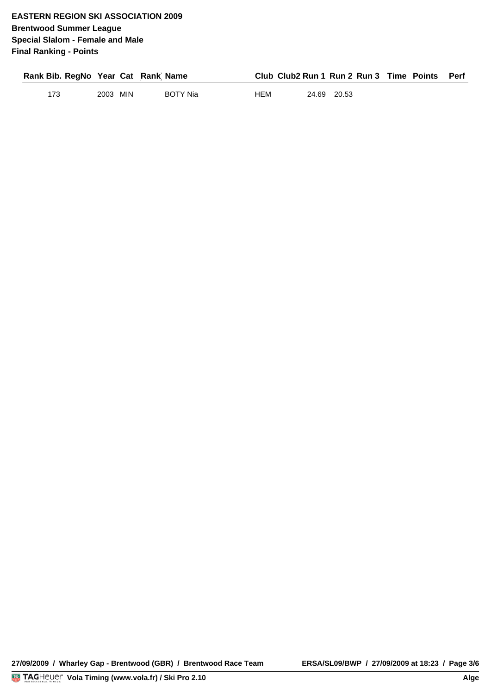| Rank Bib. RegNo Year Cat Rank Name |          |                 |     |             | Club Club2 Run 1 Run 2 Run 3 Time Points Perf |  |
|------------------------------------|----------|-----------------|-----|-------------|-----------------------------------------------|--|
| 173                                | 2003 MIN | <b>BOTY Nia</b> | нем | 24.69 20.53 |                                               |  |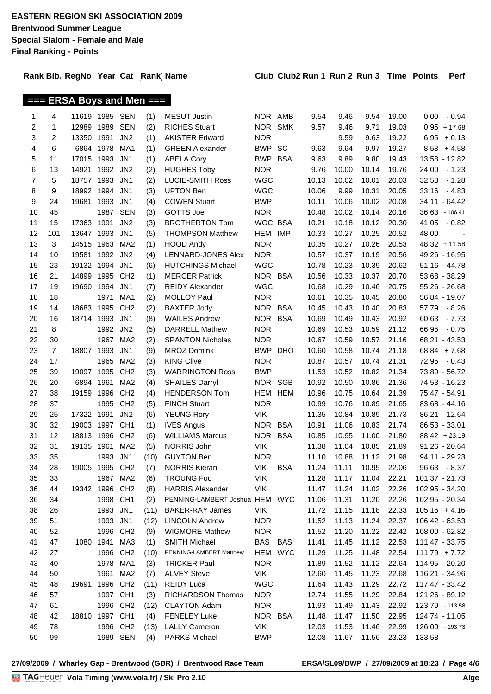$T = FDRA$   $D$ <sub>ave</sub> and  $M$ an  $T =$ 

**Rank Bib. RegNo Year Cat (Rank) Name Club Club2 Run 1 Run 2 Run 3 Time Points Perf**

|                |                |                |           | $==$ ERSA Boys and Men $==$ |      |                                |            |            |       |       |       |       |                  |
|----------------|----------------|----------------|-----------|-----------------------------|------|--------------------------------|------------|------------|-------|-------|-------|-------|------------------|
| 1              | 4              | 11619 1985 SEN |           |                             | (1)  | <b>MESUT Justin</b>            | NOR AMB    |            | 9.54  | 9.46  | 9.54  | 19.00 | - 0.94<br>0.00   |
| 2              | 1              | 12989 1989     |           | <b>SEN</b>                  | (2)  | <b>RICHES Stuart</b>           | <b>NOR</b> | <b>SMK</b> | 9.57  | 9.46  | 9.71  | 19.03 | $0.95 + 17.68$   |
| 3              | $\overline{2}$ | 13350 1991     |           | JN <sub>2</sub>             | (1)  | <b>AKISTER Edward</b>          | <b>NOR</b> |            |       | 9.59  | 9.63  | 19.22 | 6.95<br>$+0.13$  |
| 4              | 6              |                | 6864 1978 | MA1                         | (1)  | <b>GREEN Alexander</b>         | <b>BWP</b> | <b>SC</b>  | 9.63  | 9.64  | 9.97  | 19.27 | 8.53<br>$+4.58$  |
| 5              | 11             | 17015          | 1993      | JN <sub>1</sub>             | (1)  | <b>ABELA Cory</b>              | <b>BWP</b> | <b>BSA</b> | 9.63  | 9.89  | 9.80  | 19.43 | 13.58 - 12.82    |
| 6              | 13             | 14921          | 1992      | JN <sub>2</sub>             | (2)  | <b>HUGHES Toby</b>             | <b>NOR</b> |            | 9.76  | 10.00 | 10.14 | 19.76 | $-1.23$<br>24.00 |
| $\overline{7}$ | 5              | 18757 1993     |           | JN <sub>1</sub>             | (2)  | <b>LUCIE-SMITH Ross</b>        | <b>WGC</b> |            | 10.13 | 10.02 | 10.01 | 20.03 | $-1.28$<br>32.53 |
| 8              | 9              | 18992 1994     |           | JN <sub>1</sub>             | (3)  | <b>UPTON Ben</b>               | <b>WGC</b> |            | 10.06 | 9.99  | 10.31 | 20.05 | 33.16<br>$-4.83$ |
| 9              | 24             | 19681          | 1993      | JN <sub>1</sub>             | (4)  | <b>COWEN Stuart</b>            | <b>BWP</b> |            | 10.11 | 10.06 | 10.02 | 20.08 | $34.11 - 64.42$  |
| 10             | 45             |                | 1987      | <b>SEN</b>                  | (3)  | GOTTS Joe                      | <b>NOR</b> |            | 10.48 | 10.02 | 10.14 | 20.16 | 36.63 - 106.41   |
| 11             | 15             | 17363          | 1991      | JN <sub>2</sub>             | (3)  | <b>BROTHERTON Tom</b>          | WGC BSA    |            | 10.21 | 10.18 | 10.12 | 20.30 | 41.05<br>$-0.82$ |
| 12             | 101            | 13647 1993     |           | JN <sub>1</sub>             | (5)  | <b>THOMPSON Matthew</b>        | HEM        | IMP        | 10.33 | 10.27 | 10.25 | 20.52 | 48.00            |
| 13             | 3              | 14515 1963     |           | MA <sub>2</sub>             | (1)  | <b>HOOD Andy</b>               | <b>NOR</b> |            | 10.35 | 10.27 | 10.26 | 20.53 | $48.32 + 11.58$  |
| 14             | 10             | 19581          | 1992      | JN <sub>2</sub>             | (4)  | LENNARD-JONES Alex             | <b>NOR</b> |            | 10.57 | 10.37 | 10.19 | 20.56 | 49.26 - 16.95    |
| 15             | 23             | 19132 1994     |           | JN <sub>1</sub>             | (6)  | <b>HUTCHINGS Michael</b>       | <b>WGC</b> |            | 10.78 | 10.23 | 10.39 | 20.62 | $51.16 - 44.78$  |
| 16             | 21             | 14899          | 1995      | CH <sub>2</sub>             | (1)  | <b>MERCER Patrick</b>          | NOR BSA    |            | 10.56 | 10.33 | 10.37 | 20.70 | 53.68 - 38.29    |
| 17             | 19             | 19690          | 1994      | JN <sub>1</sub>             | (7)  | <b>REIDY Alexander</b>         | <b>WGC</b> |            | 10.68 | 10.29 | 10.46 | 20.75 | $55.26 - 26.68$  |
| 18             | 18             |                | 1971      | MA1                         | (2)  | <b>MOLLOY Paul</b>             | <b>NOR</b> |            | 10.61 | 10.35 | 10.45 | 20.80 | 56.84 - 19.07    |
| 19             | 14             | 18683          | 1995      | CH <sub>2</sub>             | (2)  | <b>BAXTER Jody</b>             | NOR BSA    |            | 10.45 | 10.43 | 10.40 | 20.83 | 57.79<br>- 8.26  |
| 20             | 16             | 18714 1993     |           | JN <sub>1</sub>             | (8)  | <b>WAILES Andrew</b>           | NOR BSA    |            | 10.69 | 10.49 | 10.43 | 20.92 | 60.63<br>$-7.73$ |
| 21             | 8              |                | 1992      | JN <sub>2</sub>             | (5)  | <b>DARRELL Mathew</b>          | <b>NOR</b> |            | 10.69 | 10.53 | 10.59 | 21.12 | 66.95<br>$-0.75$ |
| 22             | 30             |                | 1967      | MA <sub>2</sub>             | (2)  | <b>SPANTON Nicholas</b>        | <b>NOR</b> |            | 10.67 | 10.59 | 10.57 | 21.16 | 68.21 - 43.53    |
| 23             | $\overline{7}$ | 18807          | 1993      | JN <sub>1</sub>             | (9)  | <b>MROZ Domink</b>             | BWP        | <b>DHO</b> | 10.60 | 10.58 | 10.74 | 21.18 | $68.84 + 7.68$   |
| 24             | 17             |                | 1965      | MA2                         | (3)  | <b>KING Clive</b>              | <b>NOR</b> |            | 10.87 | 10.57 | 10.74 | 21.31 | 72.95<br>$-0.43$ |
| 25             | 39             | 19097 1995     |           | CH <sub>2</sub>             | (3)  | <b>WARRINGTON Ross</b>         | <b>BWP</b> |            | 11.53 | 10.52 | 10.82 | 21.34 | 73.89 - 56.72    |
| 26             | 20             | 6894 1961      |           | MA2                         | (4)  | <b>SHAILES Darryl</b>          | NOR.       | SGB        | 10.92 | 10.50 | 10.86 | 21.36 | 74.53 - 16.23    |
| 27             | 38             | 19159          | 1996      | CH <sub>2</sub>             | (4)  | <b>HENDERSON Tom</b>           | HEM        | <b>HEM</b> | 10.96 | 10.75 | 10.64 | 21.39 | 75.47 - 54.91    |
| 28             | 37             |                | 1995      | CH <sub>2</sub>             | (5)  | <b>FINCH Stuart</b>            | <b>NOR</b> |            | 10.99 | 10.76 | 10.89 | 21.65 | $83.68 - 44.16$  |
| 29             | 25             | 17322          | 1991      | JN <sub>2</sub>             | (6)  | <b>YEUNG Rory</b>              | <b>VIK</b> |            | 11.35 | 10.84 | 10.89 | 21.73 | 86.21 - 12.64    |
| 30             | 32             | 19003 1997     |           | CH <sub>1</sub>             | (1)  | <b>IVES Angus</b>              | NOR BSA    |            | 10.91 | 11.06 | 10.83 | 21.74 | 86.53 - 33.01    |
| 31             | 12             | 18813          | 1996      | CH <sub>2</sub>             | (6)  | <b>WILLIAMS Marcus</b>         | NOR BSA    |            | 10.85 | 10.95 | 11.00 | 21.80 | $88.42 + 23.19$  |
| 32             | 31             | 19135 1961     |           | MA <sub>2</sub>             | (5)  | NORRIS John                    | <b>VIK</b> |            | 11.38 | 11.04 | 10.85 | 21.89 | $91.26 - 20.64$  |
| 33             | 35             |                | 1993      | JN <sub>1</sub>             | (10) | <b>GUYTON Ben</b>              | <b>NOR</b> |            | 11.10 | 10.88 | 11.12 | 21.98 | 94.11 - 29.23    |
| 34             | 28             | 19005 1995     |           | CH <sub>2</sub>             | (7)  | <b>NORRIS Kieran</b>           | VIK        | <b>BSA</b> | 11.24 | 11.11 | 10.95 | 22.06 | 96.63 - 8.37     |
| 35             | 33             |                | 1967 MA2  |                             | (6)  | <b>TROUNG Foo</b>              | <b>VIK</b> |            | 11.28 | 11.17 | 11.04 | 22.21 | 101.37 - 21.73   |
| 36             | 44             | 19342 1996 CH2 |           |                             | (8)  | <b>HARRIS Alexander</b>        | VIK        |            | 11.47 | 11.24 | 11.02 | 22.26 | 102.95 - 34.20   |
| 36             | 34             |                | 1998 CH1  |                             | (2)  | PENNING-LAMBERT Joshua HEM WYC |            |            | 11.06 | 11.31 | 11.20 | 22.26 | 102.95 - 20.34   |
| 38             | 26             |                | 1993      | JN1                         | (11) | <b>BAKER-RAY James</b>         | VIK        |            | 11.72 | 11.15 | 11.18 | 22.33 | $105.16 + 4.16$  |
| 39             | 51             |                | 1993      | JN <sub>1</sub>             | (12) | <b>LINCOLN Andrew</b>          | <b>NOR</b> |            | 11.52 | 11.13 | 11.24 | 22.37 | 106.42 - 63.53   |
| 40             | 52             |                | 1996 CH2  |                             | (9)  | <b>WIGMORE Mathew</b>          | <b>NOR</b> |            | 11.52 | 11.20 | 11.22 | 22.42 | 108.00 - 62.82   |
| 41             | 47             |                | 1080 1941 | MA3                         | (1)  | <b>SMITH Michael</b>           | BAS BAS    |            | 11.41 | 11.45 | 11.12 | 22.53 | 111.47 - 33.75   |
| 42             | 27             |                | 1996 CH2  |                             | (10) | PENNING-LAMBERT Matthew        | HEM WYC    |            | 11.29 | 11.25 | 11.48 | 22.54 | $111.79 + 7.72$  |
| 43             | 40             |                | 1978      | MA1                         | (3)  | <b>TRICKER Paul</b>            | <b>NOR</b> |            | 11.89 | 11.52 | 11.12 | 22.64 | 114.95 - 20.20   |
| 44             | 50             |                | 1961      | MA <sub>2</sub>             | (7)  | <b>ALVEY Steve</b>             | VIK        |            | 12.60 | 11.45 | 11.23 | 22.68 | 116.21 - 34.96   |
| 45             | 48             | 19691          | 1996 CH2  |                             | (11) | <b>REIDY Luca</b>              | <b>WGC</b> |            | 11.64 | 11.43 | 11.29 | 22.72 | 117.47 - 33.42   |
| 46             | 57             |                | 1997 CH1  |                             | (3)  | RICHARDSON Thomas              | <b>NOR</b> |            | 12.74 | 11.55 | 11.29 | 22.84 | 121.26 - 89.12   |
| 47             | 61             |                | 1996      | CH <sub>2</sub>             | (12) | <b>CLAYTON Adam</b>            | <b>NOR</b> |            | 11.93 | 11.49 | 11.43 | 22.92 | 123.79 - 113.58  |
| 48             | 42             | 18810 1997 CH1 |           |                             | (4)  | <b>FENELEY Luke</b>            | NOR BSA    |            | 11.48 | 11.47 | 11.50 | 22.95 | 124.74 - 11.05   |
| 49             | 78             |                | 1996 CH2  |                             | (13) | <b>LALLY Cameron</b>           | VIK        |            | 12.03 | 11.53 | 11.46 | 22.99 | 126.00 - 193.73  |
| 50             | 99             |                | 1989 SEN  |                             | (4)  | <b>PARKS Michael</b>           | <b>BWP</b> |            | 12.08 | 11.67 | 11.56 | 23.23 | 133.58           |

**27/09/2009 / Wharley Gap - Brentwood (GBR) / Brentwood Race Team ERSA/SL09/BWP / 27/09/2009 at 18:23 / Page 4/6**

<u>Volanda va Ser</u>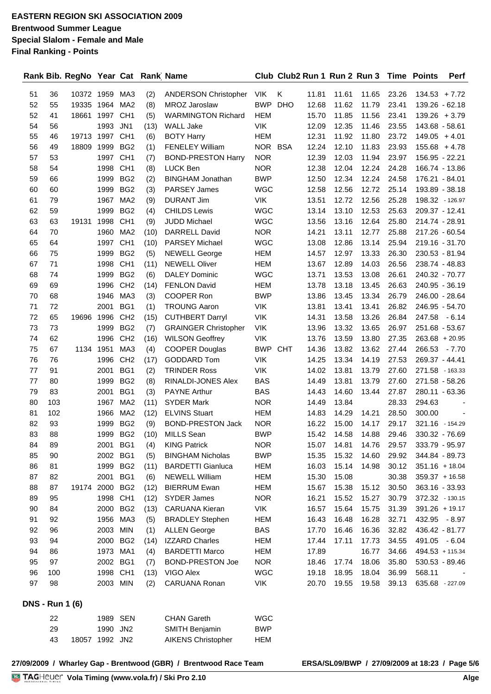|                        |     | Rank Bib. RegNo Year Cat Rank Name |          |                 |      |                             |            |            |       |       | Club Club2 Run 1 Run 2 Run 3 |       | <b>Time Points</b> | Perf                     |
|------------------------|-----|------------------------------------|----------|-----------------|------|-----------------------------|------------|------------|-------|-------|------------------------------|-------|--------------------|--------------------------|
| 51                     | 36  | 10372 1959                         |          | MA3             | (2)  | <b>ANDERSON Christopher</b> | <b>VIK</b> | Κ          | 11.81 | 11.61 | 11.65                        | 23.26 | $134.53 + 7.72$    |                          |
| 52                     | 55  | 19335                              | 1964     | MA <sub>2</sub> | (8)  | <b>MROZ Jaroslaw</b>        | <b>BWP</b> | <b>DHO</b> | 12.68 | 11.62 | 11.79                        | 23.41 |                    | 139.26 - 62.18           |
| 52                     | 41  | 18661                              | 1997     | CH <sub>1</sub> | (5)  | <b>WARMINGTON Richard</b>   | <b>HEM</b> |            | 15.70 | 11.85 | 11.56                        | 23.41 |                    | $139.26 + 3.79$          |
| 54                     | 56  |                                    | 1993     | JN <sub>1</sub> | (13) | <b>WALL Jake</b>            | <b>VIK</b> |            | 12.09 | 12.35 | 11.46                        | 23.55 | 143.68 - 58.61     |                          |
| 55                     | 46  | 19713                              | 1997     | CH <sub>1</sub> | (6)  | <b>BOTY Harry</b>           | <b>HEM</b> |            | 12.31 | 11.92 | 11.80                        | 23.72 | $149.05 + 4.01$    |                          |
| 56                     | 49  | 18809                              | 1999     | BG <sub>2</sub> | (1)  | <b>FENELEY William</b>      | NOR BSA    |            | 12.24 | 12.10 | 11.83                        | 23.93 | $155.68 + 4.78$    |                          |
| 57                     | 53  |                                    | 1997     | CH <sub>1</sub> | (7)  | <b>BOND-PRESTON Harry</b>   | <b>NOR</b> |            | 12.39 | 12.03 | 11.94                        | 23.97 | 156.95 - 22.21     |                          |
| 58                     | 54  |                                    | 1998     | CH <sub>1</sub> | (8)  | LUCK Ben                    | <b>NOR</b> |            | 12.38 | 12.04 | 12.24                        | 24.28 | 166.74 - 13.86     |                          |
| 59                     | 66  |                                    | 1999     | BG <sub>2</sub> | (2)  | <b>BINGHAM Jonathan</b>     | <b>BWP</b> |            | 12.50 | 12.34 | 12.24                        | 24.58 | 176.21 - 84.01     |                          |
| 60                     | 60  |                                    | 1999     | BG <sub>2</sub> | (3)  | <b>PARSEY James</b>         | <b>WGC</b> |            | 12.58 | 12.56 | 12.72                        | 25.14 |                    | 193.89 - 38.18           |
| 61                     | 79  |                                    | 1967     | MA <sub>2</sub> | (9)  | <b>DURANT Jim</b>           | <b>VIK</b> |            | 13.51 | 12.72 | 12.56                        | 25.28 |                    | 198.32 - 126.97          |
| 62                     | 59  |                                    | 1999     | BG <sub>2</sub> | (4)  | <b>CHILDS Lewis</b>         | <b>WGC</b> |            | 13.14 | 13.10 | 12.53                        | 25.63 | 209.37 - 12.41     |                          |
| 63                     | 63  | 19131                              | 1998     | CH <sub>1</sub> | (9)  | <b>JUDD Michael</b>         | <b>WGC</b> |            | 13.56 | 13.16 | 12.64                        | 25.80 | 214.74 - 28.91     |                          |
| 64                     | 70  |                                    | 1960     | MA <sub>2</sub> | (10) | DARRELL David               | <b>NOR</b> |            | 14.21 | 13.11 | 12.77                        | 25.88 | 217.26 - 60.54     |                          |
| 65                     | 64  |                                    | 1997     | CH <sub>1</sub> | (10) | <b>PARSEY Michael</b>       | <b>WGC</b> |            | 13.08 | 12.86 | 13.14                        | 25.94 | 219.16 - 31.70     |                          |
| 66                     | 75  |                                    | 1999     | BG <sub>2</sub> | (5)  | <b>NEWELL George</b>        | <b>HEM</b> |            | 14.57 | 12.97 | 13.33                        | 26.30 | 230.53 - 81.94     |                          |
| 67                     | 71  |                                    | 1998     | CH <sub>1</sub> | (11) | <b>NEWELL Oliver</b>        | <b>HEM</b> |            | 13.67 | 12.89 | 14.03                        | 26.56 | 238.74 - 48.83     |                          |
| 68                     | 74  |                                    | 1999     | BG <sub>2</sub> | (6)  | <b>DALEY Dominic</b>        | <b>WGC</b> |            | 13.71 | 13.53 | 13.08                        | 26.61 | 240.32 - 70.77     |                          |
| 69                     | 69  |                                    | 1996     | CH <sub>2</sub> | (14) | <b>FENLON David</b>         | <b>HEM</b> |            | 13.78 | 13.18 | 13.45                        | 26.63 | 240.95 - 36.19     |                          |
| 70                     | 68  |                                    | 1946     | MA3             | (3)  | COOPER Ron                  | <b>BWP</b> |            | 13.86 | 13.45 | 13.34                        | 26.79 | 246.00 - 28.64     |                          |
| 71                     | 72  |                                    | 2001     | BG1             | (1)  | <b>TROUNG Aaron</b>         | <b>VIK</b> |            | 13.81 | 13.41 | 13.41                        | 26.82 | 246.95 - 54.70     |                          |
| 72                     | 65  | 19696                              | 1996     | CH <sub>2</sub> | (15) | <b>CUTHBERT Darryl</b>      | <b>VIK</b> |            | 14.31 | 13.58 | 13.26                        | 26.84 | 247.58             | $-6.14$                  |
| 73                     | 73  |                                    | 1999     | BG <sub>2</sub> | (7)  | <b>GRAINGER Christopher</b> | <b>VIK</b> |            | 13.96 | 13.32 | 13.65                        | 26.97 | 251.68 - 53.67     |                          |
| 74                     | 62  |                                    | 1996     | CH <sub>2</sub> | (16) | <b>WILSON Geoffrey</b>      | <b>VIK</b> |            | 13.76 | 13.59 | 13.80                        | 27.35 | $263.68 + 20.95$   |                          |
| 75                     | 67  | 1134                               | 1951     | MA3             | (4)  | <b>COOPER Douglas</b>       | <b>BWP</b> | <b>CHT</b> | 14.36 | 13.82 | 13.62                        | 27.44 | 266.53             | $-7.70$                  |
| 76                     | 76  |                                    | 1996     | CH <sub>2</sub> | (17) | <b>GODDARD Tom</b>          | <b>VIK</b> |            | 14.25 | 13.34 | 14.19                        | 27.53 | 269.37 - 44.41     |                          |
| 77                     | 91  |                                    | 2001     | BG1             | (2)  | <b>TRINDER Ross</b>         | <b>VIK</b> |            | 14.02 | 13.81 | 13.79                        | 27.60 | 271.58 - 163.33    |                          |
| 77                     | 80  |                                    | 1999     | BG <sub>2</sub> | (8)  | RINALDI-JONES Alex          | <b>BAS</b> |            | 14.49 | 13.81 | 13.79                        | 27.60 | 271.58 - 58.26     |                          |
| 79                     | 83  |                                    | 2001     | BG1             | (3)  | <b>PAYNE Arthur</b>         | <b>BAS</b> |            | 14.43 | 14.60 | 13.44                        | 27.87 | 280.11 - 63.36     |                          |
| 80                     | 103 |                                    | 1967     | MA <sub>2</sub> | (11) | <b>SYDER Mark</b>           | <b>NOR</b> |            | 14.49 | 13.84 |                              | 28.33 | 294.63             |                          |
| 81                     | 102 |                                    | 1966     | MA <sub>2</sub> | (12) | <b>ELVINS Stuart</b>        | <b>HEM</b> |            | 14.83 | 14.29 | 14.21                        | 28.50 | 300.00             | $\overline{\phantom{a}}$ |
| 82                     | 93  |                                    | 1999     | BG <sub>2</sub> | (9)  | <b>BOND-PRESTON Jack</b>    | <b>NOR</b> |            | 16.22 | 15.00 | 14.17                        | 29.17 | 321.16 - 154.29    |                          |
| 83                     | 88  |                                    | 1999     | BG <sub>2</sub> | (10) | <b>MILLS Sean</b>           | <b>BWP</b> |            | 15.42 | 14.58 | 14.88                        | 29.46 | 330.32 - 76.69     |                          |
| 84                     | 89  |                                    | 2001     | BG1             | (4)  | <b>KING Patrick</b>         | <b>NOR</b> |            | 15.07 | 14.81 | 14.76                        | 29.57 | 333.79 - 95.97     |                          |
| 85                     | 90  |                                    | 2002 BG1 |                 | (5)  | <b>BINGHAM Nicholas</b>     | <b>BWP</b> |            | 15.35 | 15.32 | 14.60                        | 29.92 |                    | 344.84 - 89.73           |
| 86                     | 81  |                                    | 1999 BG2 |                 | (11) | <b>BARDETTI Gianluca</b>    | <b>HEM</b> |            | 16.03 | 15.14 | 14.98                        | 30.12 |                    | $351.16 + 18.04$         |
| 87                     | 82  |                                    | 2001     | BG1             | (6)  | <b>NEWELL William</b>       | <b>HEM</b> |            | 15.30 | 15.08 |                              | 30.38 | $359.37 + 16.58$   |                          |
| 88                     | 87  | 19174                              | 2000 BG2 |                 | (12) | <b>BIERRUM Ewan</b>         | <b>HEM</b> |            | 15.67 | 15.38 | 15.12                        | 30.50 |                    | 363.16 - 33.93           |
| 89                     | 95  |                                    | 1998     | CH <sub>1</sub> | (12) | <b>SYDER James</b>          | <b>NOR</b> |            | 16.21 | 15.52 | 15.27                        | 30.79 | 372.32 - 130.15    |                          |
| 90                     | 84  |                                    | 2000 BG2 |                 | (13) | <b>CARUANA Kieran</b>       | VIK        |            | 16.57 | 15.64 | 15.75                        | 31.39 | $391.26 + 19.17$   |                          |
| 91                     | 92  |                                    | 1956 MA3 |                 | (5)  | <b>BRADLEY Stephen</b>      | <b>HEM</b> |            | 16.43 | 16.48 | 16.28                        | 32.71 |                    | 432.95 - 8.97            |
| 92                     | 96  |                                    | 2003 MIN |                 | (1)  | <b>ALLEN George</b>         | <b>BAS</b> |            | 17.70 | 16.46 | 16.36                        | 32.82 | 436.42 - 81.77     |                          |
| 93                     | 94  |                                    | 2000 BG2 |                 | (14) | <b>IZZARD Charles</b>       | <b>HEM</b> |            | 17.44 | 17.11 | 17.73                        | 34.55 |                    | 491.05 - 6.04            |
| 94                     | 86  |                                    | 1973 MA1 |                 | (4)  | <b>BARDETTI Marco</b>       | <b>HEM</b> |            | 17.89 |       | 16.77                        | 34.66 | 494.53 + 115.34    |                          |
| 95                     | 97  |                                    | 2002 BG1 |                 | (7)  | <b>BOND-PRESTON Joe</b>     | <b>NOR</b> |            | 18.46 | 17.74 | 18.06                        | 35.80 |                    | 530.53 - 89.46           |
| 96                     | 100 |                                    | 1998 CH1 |                 | (13) | VIGO Alex                   | <b>WGC</b> |            | 19.18 | 18.95 | 18.04                        | 36.99 | 568.11             |                          |
| 97                     | 98  |                                    | 2003 MIN |                 | (2)  | CARUANA Ronan               | VIK        |            | 20.70 | 19.55 | 19.58                        | 39.13 | 635.68 - 227.09    |                          |
| <b>DNS - Run 1 (6)</b> |     |                                    |          |                 |      |                             |            |            |       |       |                              |       |                    |                          |
|                        | 22  |                                    | 1989 SEN |                 |      | <b>CHAN Gareth</b>          | <b>WGC</b> |            |       |       |                              |       |                    |                          |
|                        | 29  |                                    | 1990 JN2 |                 |      | SMITH Benjamin              | <b>BWP</b> |            |       |       |                              |       |                    |                          |
|                        | 43  | 18057                              | 1992 JN2 |                 |      | <b>AIKENS Christopher</b>   | <b>HEM</b> |            |       |       |                              |       |                    |                          |
|                        |     |                                    |          |                 |      |                             |            |            |       |       |                              |       |                    |                          |